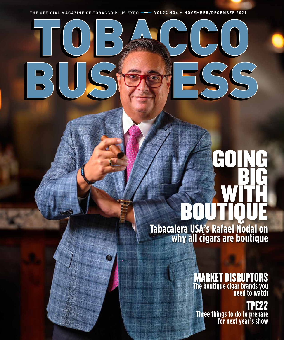TOBACCO THE OFFICIAL MAGAZINE OF TOBACCO PLUS EXPO **---** VOL24 NO6 \* NOVEMBER/DECEMBER 2021

BUSPPESS

# **Tabacalera USA's Rafael Nodal on**  GOING BIG WITH BOUTIQUE

**why all cigars are boutique**

## MARKET DISRUPTORS **The boutique cigar brands you**

**need to watch**

### TPE22 **Three things to do to prepare for next year's show**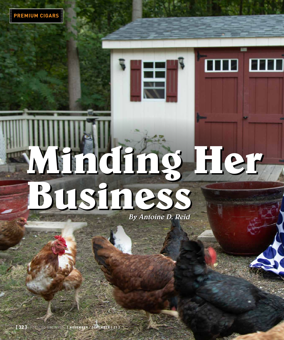# **Minding Her Business Minding Her Business**

H

By Antoine D. Reid

**[ 32 ]** TOBACCO BUSINESS **[ NOVEMBER** / **DECEMBER | 21 ]**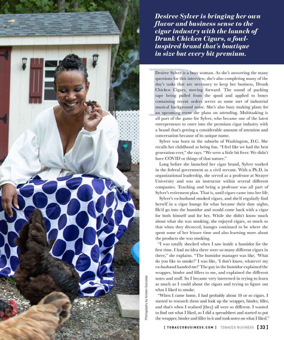

*Desiree Sylver is bringing her own flavor and business sense to the cigar industry with the launch of Drunk Chicken Cigars, a fowlinspired brand that's boutique in size but every bit premium.* 

Desiree Sylver is a busy won<br>questions for this interview,<br>day's tasks that are necess<br>Chicken Cigars, moving<br>tape being pulled from t<br>containing recent orders s<br>musical background noise.<br>an upcoming event she pla<br>all part Desiree Sylver is a busy woman. As she's answering the many questions for this interview, she's also completing many of the day's tasks that are necessary to keep her business, Drunk Chicken Cigars, moving forward. The sound of packing tape being pulled from the spool and applied to boxes containing recent orders serves as some sort of industrial musical background noise. She's also busy making plans for an upcoming event she plans on attending. Multitasking is all part of the game for Sylver, who became one of the latest entrepreneurs to enter into the premium cigar industry with a brand that's getting a considerable amount of attention and conversation because of its unique name.

Sylver was born in the suburbs of Washington, D.C. She recalls her childhood as being fun. "I feel like we had the best generation ever," she says. "We were a little bit freer. We didn't have COVID or things of that nature."

Long before she launched her cigar brand, Sylver worked in the federal government as a civil servant. With a Ph.D. in organizational leadership, she served as a professor at Strayer University and was an instructor within several different companies. Teaching and being a professor was all part of Sylver's retirement plan. That is, until cigars came into her life.

Sylver's ex-husband smoked cigars, and she'd regularly find herself in a cigar lounge for what became their date nights. He'd go into the humidor and would come back with a cigar for both himself and for her. While she didn't know much about what she was smoking, she enjoyed cigars, so much so that when they divorced, lounges continued to be where she spent some of her leisure time and also learning more about the products she was smoking.

"I was totally shocked when I saw inside a humidor for the first time. I had no idea there were so many different cigars in there," she explains. "The humidor manager was like, 'What do you like to smoke?' I was like, 'I don't know, whatever my ex-husband handed me!' The guy in the humidor explained the wrapper, binder and fillers to me, and explained the different notes and stuff. So I became very interested in trying to learn as much as I could about the cigars and trying to figure out what I liked to smoke.

"When I came home, I had probably about 10 or so cigars. I started to research them and look up the wrapper, binder, filler, and that's when I realized [they] all were so different. I wanted to find out what I liked, so I did a spreadsheet and started to put the wrapper, binder and filler in it and took notes on what I liked."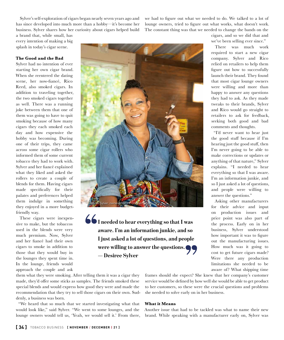Sylver's self-exploration of cigars began nearly seven years ago and has since developed into much more than a hobby—it's become her business. Sylver shares how her curiosity about cigars helped build

we had to figure out what we needed to do. We talked to a lot of lounge owners, tried to figure out what works, what doesn't work. The constant thing was that we needed to change the bands on the

a brand that, while small, has every intention of making a big splash in today's cigar scene.

#### **The Good and the Bad**

Sylver had no intention of ever starting her own cigar brand. When she reentered the dating scene, her now-fiancé, Rico Reed, also smoked cigars. In addition to traveling together, the two smoked cigars together as well. There was a running joke between them that one of them was going to have to quit smoking because of how many cigars they each smoked each day and how expensive the hobby was becoming. During one of their trips, they came across some cigar rollers who informed them of some current tobacco they had to work with. Sylver and her fiancé explained what they liked and asked the rollers to create a couple of blends for them. Having cigars made specifically for their palates and preferences helped them indulge in something they enjoyed in a more budgetfriendly way.

These cigars were inexpensive to make, but the tobaccos used in the blends were very much premium. Now, Sylver and her fiancé had their own cigars to smoke in addition to those that they would buy in the lounges they spent time in. In the lounge, friends would approach the couple and ask



**I needed to hear everything so that I was aware. I'm an information junkie, and so I just asked a lot of questions, and people**  were willing to answer the questions.<br>
— Desiree Sylver **— Desiree Sylver** "

cigars, and so we did that and we've been selling ever since."

There was much work required to start a new cigar company. Sylver and Rico relied on retailers to help them figure out how to successfully launch their brand. They found that most cigar lounge owners were willing and more than happy to answer any questions they had to ask. As they made tweaks to their brands, Sylver and Rico would go straight to retailers to ask for feedback, seeking both good and bad comments and thoughts.

"I'd never want to hear just the good stuff because if I'm hearing just the good stuff, then I'm never going to be able to make corrections or updates or anything of that nature," Sylver explains. "I needed to hear everything so that I was aware. I'm an information junkie, and so I just asked a lot of questions, and people were willing to answer the questions."

Asking other manufacturers for their advice and input on production issues and price point was also part of the process. Early on in her business, Sylver understood how important it was to figure out the manufacturing issues. How much was it going to cost to get future cigars made? Were there any production limitations she needed to be aware of? What shipping time

them what they were smoking. After telling them it was a cigar they made, they'd offer some sticks as samples. The friends smoked these special blends and would express how good they were and made the recommendation that they try to sell those cigars on their own. Suddenly, a business was born.

"We heard that so much that we started investigating what that would look like," said Sylver. "We went to some lounges, and the lounge owners would tell us, 'Yeah, we would sell it.' From there, frames should she expect? She knew that her company's customer service would be defined by how well she would be able to get product to her customers, so these were the crucial questions and problems she needed to solve early on in her business.

#### **What it Means**

Another issue that had to be tackled was what to name their new brand. While speaking with a manufacturer early on, Sylver was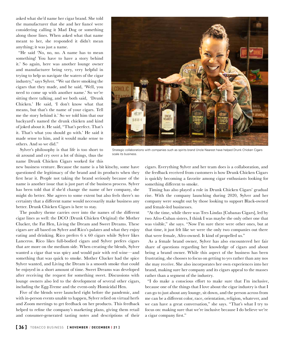asked what she'd name her cigar brand. She told the manufacturer that she and her fiancé were considering calling it Mad Dog or something along those lines. When asked what that name meant to her, she responded it didn't mean anything; it was just a name.

"He said 'No, no, no. A name has to mean something! You have to have a story behind it.' So again, here was another lounge owner and manufacturer being very, very helpful in trying to help us navigate the waters of the cigar industry," says Sylver. "We sat there smoking the cigars that they made, and he said, 'Well, you need to come up with another name.' So we're sitting there talking, and we both said, 'Drunk Chicken.' He said, 'I don't know what that means, but that's the name of your cigars. Tell me the story behind it.' So we told him that our backyard's named the drunk chicken and kind of joked about it. He said, "That's perfect. That's it. That's what you should go with.' He said it made sense to him, and it would make sense to others. And so we did."

Sylver's philosophy is that life is too short to sit around and cry over a lot of things, thus the name Drunk Chicken Cigars worked for this

new business venture. Because the name is a bit kitschy, some have questioned the legitimacy of the brand and its products when they first hear it. People not taking the brand seriously because of the name is another issue that is just part of the business process. Sylver has been told that if she'd change the name of her company, she might do better. She agrees to some extent but also feels there's no certainty that a different name would necessarily make business any better. Drunk Chicken Cigars is here to stay.

The poultry theme carries over into the names of the different cigar lines as well: the DCO (Drunk Chicken Original) the Mother Clucker, the Fat Hen, Living the Dream and Sweet Dreams. These cigars are all based on Sylver and Rico's palates and what they enjoy eating and drinking. Rico prefers 6 x 60 cigars while Sylver likes Lanceros. Rico likes full-bodied cigars and Sylver prefers cigars that are more on the medium side. When creating the blends, Sylver wanted a cigar that was spicy and would pair with red wine—and something that was quick to smoke. Mother Clucker had the spice Sylver wanted, and Living the Dream is a smooth smoke that could be enjoyed in a short amount of time. Sweet Dreams was developed after receiving the request for something sweet. Discussions with lounge owners also led to the development of several other cigars, including the Egg-Treme and the event-only Homicidal Hen.

Five of the blends were launched right before the pandemic, and with in-person events unable to happen, Sylver relied on virtual herfs and Zoom meetings to get feedback on her products. This feedback helped to refine the company's marketing plans, giving them retail and consumer-generated tasting notes and descriptions of their



Timing has also played a role in Drunk Chicken Cigars' gradual rise. With the company launching during 2020, Sylver and her company were sought out by those looking to support Black-owned and female-led businesses.

"At the time, while there was Tres Lindas [Cubanas Cigars], led by two Afro-Cuban sisters, I think I was maybe the only other one that was visible," she says. "Now I'm sure there were other ones, but at that time, it just felt like we were the only two companies out there that were female, Afro-owned. It kind of propelled us."

As a female brand owner, Sylver has also encountered her fair share of questions regarding her knowledge of cigars and about being a brand owner. While this aspect of the business has been frustrating, she chooses to focus on getting to yes rather than any nos she may receive. She also incorporates her own experiences into her brand, making sure her company and its cigars appeal to the masses rather than a segment of the industry.

"I do make a conscious effort to make sure that I'm inclusive, because one of the things that I love about the cigar industry is that I can go to just about any lounge, sit down, and the person across from me can be a different color, race, orientation, religion, whatever, and we can have a great conversation," she says. "That's what I try to focus on: making sure that we're inclusive because I do believe we're a cigar company first."

Strategic collaborations with companies such as spirits brand Uncle Nearest have helped Drunk Chicken Cigars scale its business.